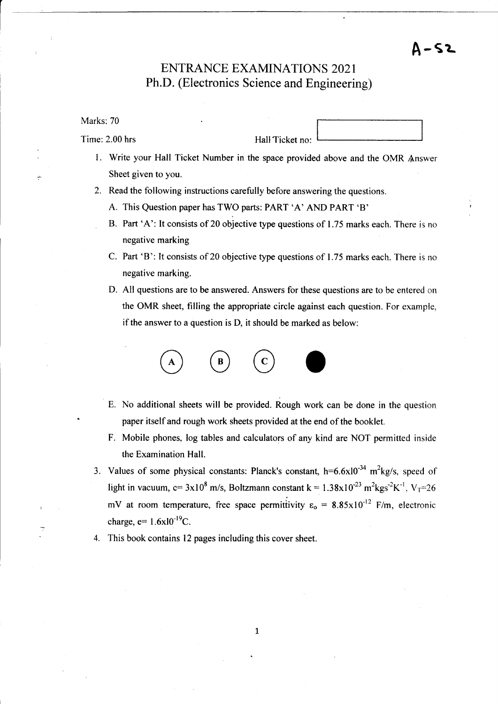# ENTRANCE EXAMINATIONS 2O2I Ph.D. (Electronics Science and Engineering)

Marks: 70

Time: 2.00 hrs Hall Ticket no:

A-ST

- l. Write your Hall Ticket Number in the space provided above and the OMR ,{.nswer Sheet given to you.
- 2. Read the following instructions carefully before answering the questions.
	- A. This Question paper has TWO parts: PART 'A' AND PART 'B'
	- B. Part 'A': It consists of 20 objective type questions of 1.75 marks each. There is no negative marking
	- C. Part 'B': It consists of 20 objective type questions of 1.75 marks each. There is no negative marking.
	- D. All questions are to be answered. Answers for these questions are to be entered on the OMR sheet, filling the appropriate circle against each question. For example. if the answer to a question is D, it should be marked as below:



- E. No additional sheets will be provided. Rough work can be done in the questiori paper itself and rough work sheets provided at the end of the booklet.
- F. Mobile phones, log tables and calculators of any kind are NOT permitted inside the Examination Hall.
- 3. Values of some physical constants: Planck's constant,  $h=6.6\times10^{-34}$  m<sup>2</sup>kg/s, speed of light in vacuum, c=  $3x10^8$  m/s, Boltzmann constant k =  $1.38x10^{-23}$  m<sup>2</sup>kgs<sup>-2</sup>K<sup>-1</sup>, V<sub>T</sub>=26 mV at room temperature, free space permittivity  $\varepsilon_0 = 8.85 \times 10^{-12}$  F/m, electronic charge,  $e= 1.6x10^{-19}C$ .
- This book contains l2 pages including this cover sheet. 4.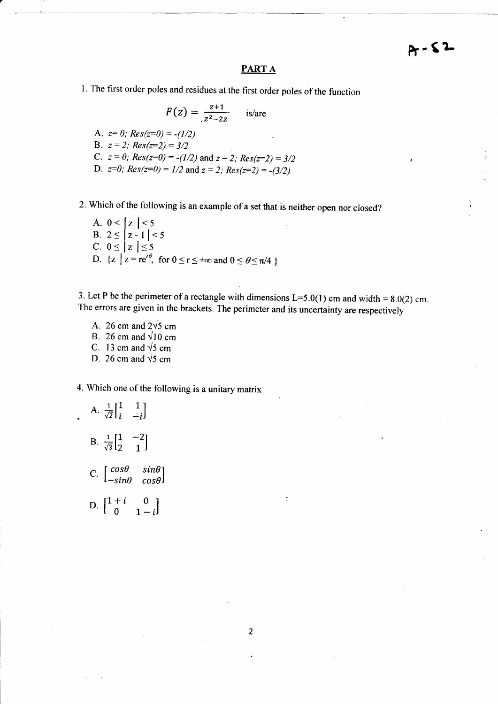$\lambda$ 

## PART A

1. The first order poles and residues at the first order poles of the function

$$
F(z) = \frac{z+1}{z^2 - 2z}
$$
 is/are  
A.  $z= 0$ ;  $Res(z=0) = -(1/2)$   
B.  $z = 2$ ;  $Res(z=2) = 3/2$   
C.  $z = 0$ ;  $Res(z=0) = -(1/2)$  and  $z = 2$ ;  $Res(z=2) = 3/2$   
D.  $z=0$ ;  $Res(z=0) = 1/2$  and  $z = 2$ ;  $Res(z=2) = -(3/2)$ 

2. which of the following is an example of a set that is neither open nor closed?

A. 
$$
0 < |z| < 5
$$
\nB.  $2 \leq |z - 1| < 5$ \nC.  $0 \leq |z| \leq 5$ \nD.  $\{z \mid z = re^{i\theta}, \text{ for } 0 \leq r \leq +\infty \text{ and } 0 \leq \theta \leq \pi/4 \}$ 

3. Let P be the perimeter of a rectangle with dimensions L=5.0(1) cm and width =  $8.0(2)$  cm. The errors are given in the brackets. The perimeter and its uncertainty are respectively

A. 26 cm and  $2\sqrt{5}$  cm B. 26 cm and  $\sqrt{10}$  cm C. 13 cm and  $\sqrt{5}$  cm D. 26 cm and  $\sqrt{5}$  cm

4. Which one of the following is a unitary matrix

A. 
$$
\frac{1}{\sqrt{2}} \begin{bmatrix} 1 & 1 \\ i & -i \end{bmatrix}
$$
  
\nB.  $\frac{1}{\sqrt{3}} \begin{bmatrix} 1 & -2 \\ 2 & 1 \end{bmatrix}$   
\nC.  $\begin{bmatrix} \cos \theta & \sin \theta \\ -\sin \theta & \cos \theta \end{bmatrix}$   
\nD.  $\begin{bmatrix} 1+i & 0 \\ 0 & 1-i \end{bmatrix}$ 

 $\overline{2}$ 

 $\ddot{\cdot}$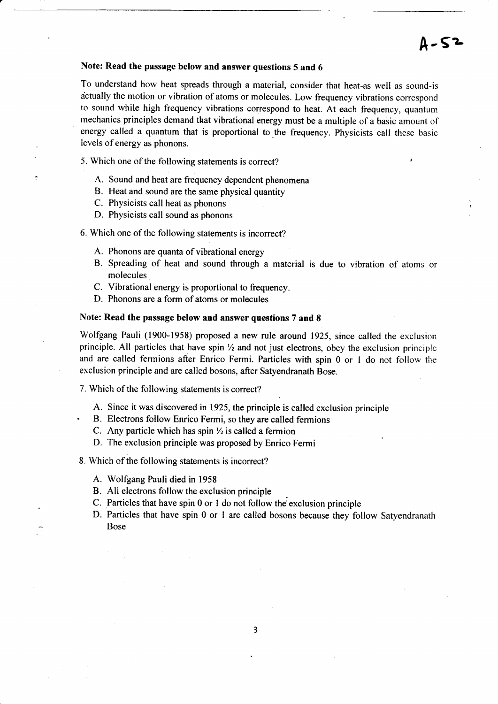## Note: Read the passage below and answer questions 5 and 6

To understand how heat spreads through a material, consider that heat-as well as sound-is actually the motion or vibration of atoms or molecules. Low frequency vibrations correspond to sound while high frequency vibrations correspond to heat. At each frequency, quantum mechanics principles demand that vibrational energy must be a multiple of a basic amount of energy called a quantum that is proportional to the frequency. Physicists call these basic levels of energy as phonons.

- 5. Which one of the following statements is correct?
	- A. Sound and heat are frequency dependent phenomena
	- B. Heat and sound are the same physical quantity
	- C. Physicists call heat as phonons
	- D. Physicists call sound as phonons

6. Which one of the following statements is incorrect?

- A. Phonons are quanta of vibrational energy
- B. Spreading of heat and sound through a material is due to vibration of atoms or molecules
- C. Vibrational energy is proportional to frequency.
- D. Phonons are a form of atoms or molecules

#### Note: Read the passage below and answer questions 7 and 8

Wolfgang Pauli (1900-1958) proposed a new rule around 1925, since called the exclusion principle. All particles that have spin  $\frac{1}{2}$  and not just electrons, obey the exclusion principle and are called fermions after Enrico Fermi. Particles with spin 0 or 1 do not follow the exclusion principle and are called bosons, after Safyendranath Bose.

- 7. Which of the following statements is correct?
	- A. Since it was discovered in 1925, the principle is called exclusion principle
	- . B. Electrons follow Enrico Fermi, so they are called fermions
		- C. Any particle which has spin  $\frac{1}{2}$  is called a fermion
		- D. The exclusion principle was proposed by Enrico Fermi
- 8. Which of the following statements is incorrect?
	- A. Wolfgang Pauli died in <sup>1958</sup>
	- B. All electrons follow the exclusion principle
	- C. Particles that have spin  $0$  or  $1$  do not follow the exclusion principle
	- D. Particles that have spin 0 or I are called bosons because they follow Satyendranath Bose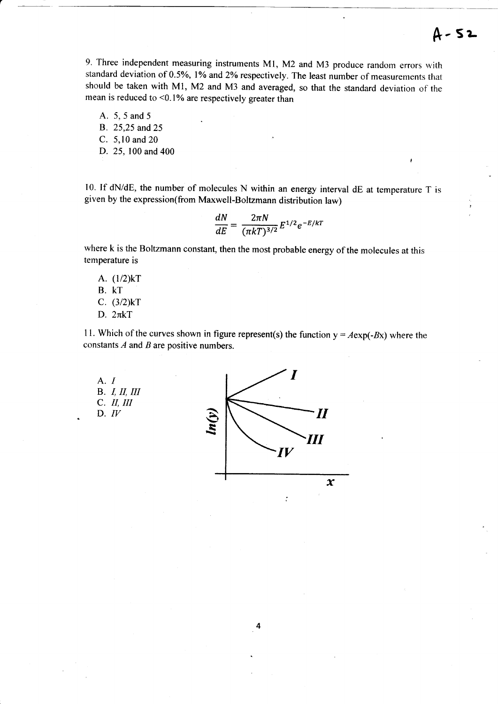9. Three independent measuring instruments M1, M2 and M3 produce random errors with standard deviation of 0.5%, 1% and 2% respectively. The least number of measurements that should be taken with Ml, M2 and M3 and averaged, so that the standard deviation of the mean is reduced to  $\leq 0.1\%$  are respectively greater than

A. 5, 5 and 5

B. 25,25 and 25

- C. 5,10 and 20
- D. 25,100 and 400

l0- If dNidE, the number of molecules N within an energy interval dE at temperature T is given by the expression(from Maxwell-Boltzmann distribution law)

$$
\frac{dN}{dE}=\frac{2\pi N}{(\pi kT)^{3/2}}E^{1/2}e^{-E/kT}
$$

where k is the Boltzmann constant, then the most probable energy of the molecules at this temperature is

A. (1/2)kT B. KT c. (3/2)kr D.  $2\pi kT$ 

11. Which of the curves shown in figure represent(s) the function  $y = A \exp(-Bx)$  where the constants  $A$  and  $B$  are positive numbers.

A. I **B.** *I, II, III* C. II, III D.  $IV$ 

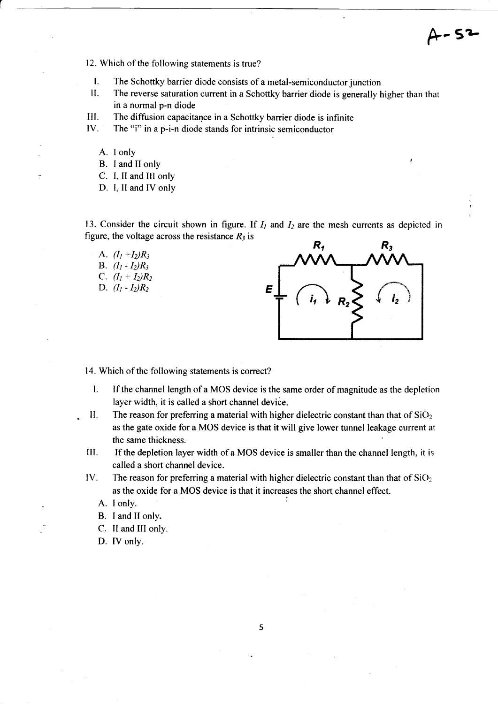$-53$ 

- 12. Which of the following statements is true?
- l. The Schottky barrier diode consists of a metal-semiconductor junction
- II. The reverse saturation current in a Schottky barrier diode is generally higher than that in a normal p-n diode
- III. The diffusion capacitance in a Schottky barrier diode is infinite
- IV. The "i" in a p-i-n diode stands for intrinsic semiconductor
	- A. I only
	- B. I and II only
	- C. I, II and III only
	- D. I, II and IV only

13. Consider the circuit shown in figure. If  $I_1$  and  $I_2$  are the mesh currents as depicted in figure, the voltage across the resistance  $R_3$  is

A.  $(I_1 + I_2)R_3$ **B.**  $(I_1 - I_2)R_3$ C.  $(I_1 + I_2)R_2$ D.  $(I_1 - I_2)R_2$ 



14. Which of the following statements is correct?

- l. If the channel length of a MOS device is the same order of magnitude as the depletion layer width, it is called a short channel device.
- II. The reason for preferring a material with higher dielectric constant than that of  $SiO<sub>2</sub>$ as the gate oxide for a MOS device is that it will give lower tunnel leakage current at the same thickness.
- If the depletion layer width of a MOS device is smaller than the channel length, it is called a short channel device. III.
- The reason for preferring a material with higher dielectric constant than that of  $SiO<sub>2</sub>$ as the oxide for a MOS device is that it increases the short channel effect. IV.
	- A. I only.
	- B. I and II only.
	- C. II and III only.
	- D. IV only.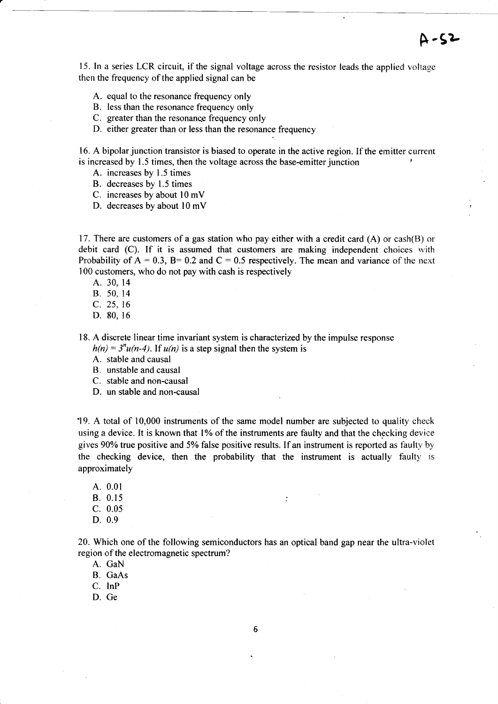15. In a series LCR circuit, if the signal voltage across the resistor leads the applied voltage then the frequency of the applied signal can be

<sup>F</sup>-5L

- A. equal to the resonance frequency only
- B. less than the resonance frequency only
- C. greater than the resonance frequency only
- D. either greater than or less than the resonance frequency

16. A bipolar junction transistor is biased to operate in the active region. If the emitter current is increased by 1.5 times, then the voltage across the base-emitter junction

- A. increases by 1.5 times
- B. decreases by 1.5 times
- C. increases by about l0 mV
- D. decreases by about l0 mV

17. There are customers of a gas station who pay either with a credit card  $(A)$  or cash $(B)$  or debit card (C). If it is assumed that customers are making independent choices with Probability of  $A = 0.3$ ,  $B = 0.2$  and  $C = 0.5$  respectively. The mean and variance of the next 100 customers, who do not pay with cash is respectively

- A. 30. <sup>14</sup>
- B. 50, 14
- c. 25. t6
- D. 80, <sup>16</sup>

l8. A discrete linear time invariant system is characterized by the impulse response  $h(n) = 3<sup>n</sup>u(n-4)$ . If  $u(n)$  is a step signal then the system is

A. stable and causal

- B. unstable and causal
- C. stable and non-causal
- D. un stable and non-causal

19. A total of 10,000 instruments of the same model number are subjected to quality check using a device. It is known that 1% of the instruments are faulty and that the checking device gives  $90\%$  true positive and 5% false positive results. If an instrument is reported as faulty by the checking device, then the probability that the instrument is actually faulty is approximately

A. 0.01  $B. 0.15$  ; c. 0.05 D. 0.9

20. Which one of the following semiconductors has an optical band gap near the ultra-violet region of the electromagnetic spectrum?

A. GaN

B. GaAs

C. InP

D. Ge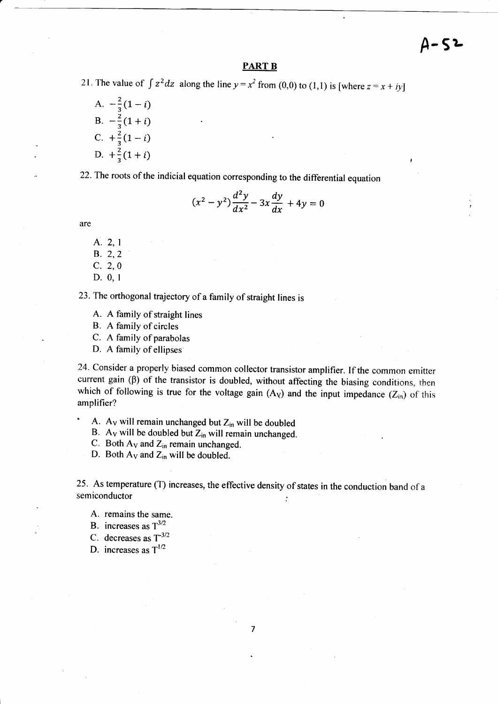A-5?-

#### PART B

21. The value of  $\int z^2 dz$  along the line  $y = x^2$  from (0,0) to (1,1) is [where  $z = x + iy$ ]

A.  $-\frac{2}{3}(1-i)$ B.  $-\frac{2}{3}(1+i)$ C.  $+\frac{2}{3}(1-i)$ D.  $+\frac{2}{3}(1+i)$ 

22. The roots of the indicial equation corresponding to the differential equation

$$
(x^2 - y^2)\frac{d^2y}{dx^2} - 3x\frac{dy}{dx} + 4y = 0
$$

are

A. 2.1 B. 2,2 c. 2,0 D.0, <sup>I</sup>

23.'The orthogonal trajectory of a family of straight lines is

A. A family of straight lines

B. A family of circles

C. A family of parabolas

D. A family of ellipses

24- Consider a properly biased common collector transistor amplifier. If the common emitter current gain  $(\beta)$  of the transistor is doubled, without affecting the biasing conditions, then which of following is true for the voltage gain  $(A<sub>V</sub>)$  and the input impedance  $(Z<sub>in</sub>)$  of this amplifier?

A. Av will remain unchanged but  $Z_{in}$  will be doubled

B. Ay will be doubled but  $Z_{in}$  will remain unchanged.

C. Both  $A_V$  and  $Z_{in}$  remain unchanged.

D. Both  $A_V$  and  $Z_{in}$  will be doubled.

25. As temperature (T) increases, the effective density of states in the conduction band of a semiconductor  $\ddot{\cdot}$ 

- A. remains the same.
- B. increases as  $T^{3/2}$

C. decreases as  $T^{-3/2}$ 

D. increases as  $T^{1/2}$ 

 $\overline{7}$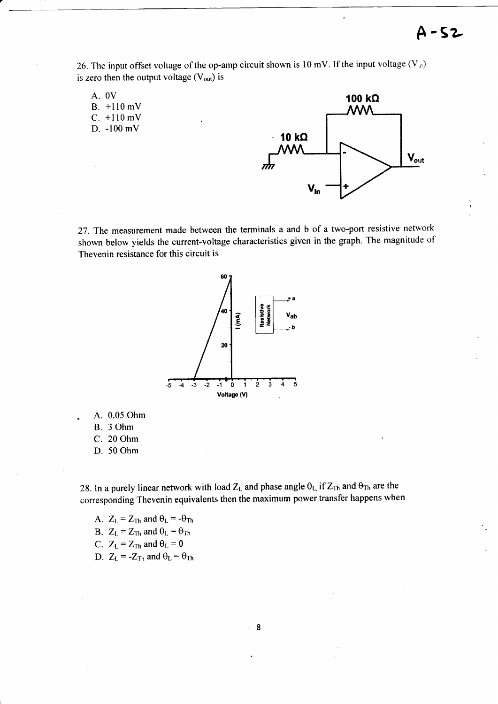$A-S2$ 

26. The input offset voltage of the op-amp circuit shown is 10 mV. If the input voltage  $(V_m)$ is zero then the output voltage  $(V_{out})$  is

A. OV B. +110 mV  $C. \pm 110$  mV D. -100 mV



27. The measurement made between the terminals a and b of a two-port resistive network shown below yields the current-voltage characteristics given in the graph. The magnitude of Thevenin resistance for this circuit is



A. 0.05 Ohm B. 3 Ohm C. 20 Ohm D. 50 Ohm

28. In a purely linear network with load  $Z_L$  and phase angle  $\theta_L$  if  $Z_{Th}$  and  $\theta_{Th}$  are the corresponding Thevenin equivalents then the maximum power transfer happens when

A.  $Z_L = Z_{Th}$  and  $\theta_L = -\theta_{Th}$ B.  $Z_L = Z_{Th}$  and  $\theta_L = \theta_{Th}$ 

C.  $Z_L = Z_{Th}$  and  $\theta_L = 0$ 

D.  $Z_L = -Z_{Th}$  and  $\theta_L = \theta_{Th}$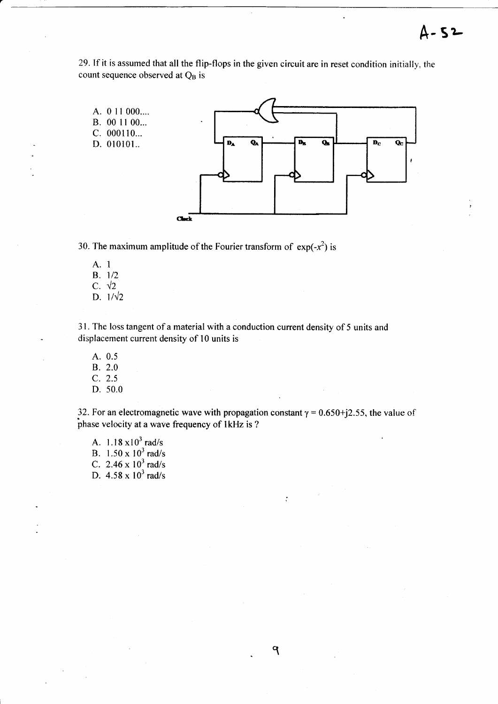29. If it is assumed that all the flip-flops in the given circuit are in reset condition initially, the count sequence observed at Q<sub>B</sub> is

![](_page_8_Figure_2.jpeg)

30. The maximum amplitude of the Fourier transform of  $exp(-x^2)$  is

A. 1  $B. 1/2$ C.  $\sqrt{2}$ D.  $1/\sqrt{2}$ 

31. The loss tangent of a material with a conduction current density of 5 units and displacement current density of 10 units is

A. 0.5 B. 2.0  $C. 2.5$  $D. 50.0$ 

32. For an electromagnetic wave with propagation constant  $\gamma = 0.650 + j2.55$ , the value of phase velocity at a wave frequency of 1kHz is ?

 $\ddot{\cdot}$ 

9

A.  $1.18 \times 10^3$  rad/s B.  $1.50 \times 10^3$  rad/s C. 2.46 x  $10^3$  rad/s<br>D. 4.58 x  $10^3$  rad/s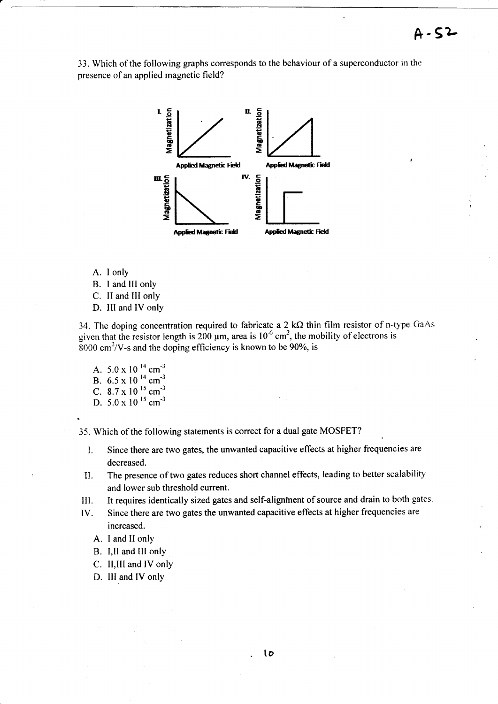33. Which of the following graphs corresponds to the behaviour of a superconductor in the presence of an applied magnetic field?

![](_page_9_Figure_2.jpeg)

- A. I only
- B. I and III only
- C. II and III only
- D. III and IV only

34. The doping concentration required to fabricate a 2 k $\Omega$  thin film resistor of n-type GaAs given that the resistor length is 200  $\mu$ m, area is 10<sup>-6</sup> cm<sup>2</sup>, the mobility of electrons is  $8000 \text{ cm}^2$ /V-s and the doping efficiency is known to be 90%, is

A.  $5.0 \times 10^{-14}$  cm<sup>-3</sup> B.  $6.5 \times 10^{14}$  cm<sup>-3</sup> C. 8.7 x 10  $^{15}$  cm<sup>-3</sup> D.  $5.0 \times 10^{-15}$  cm<sup>-3</sup>

35. Which of the following statements is correct for a dual gate MOSFET?

- Since there are two gates, the unwanted capacitive effects at higher frequencies are  $\mathbf{I}$ . decreased.
- The presence of two gates reduces short channel effects, leading to better scalability II. and lower sub threshold current.
- It requires identically sized gates and self-alignment of source and drain to both gates. Ш.
- Since there are two gates the unwanted capacitive effects at higher frequencies are IV. increased.
	- A. I and II only
	- B. I, II and III only
	- C. II, III and IV only
	- D. III and IV only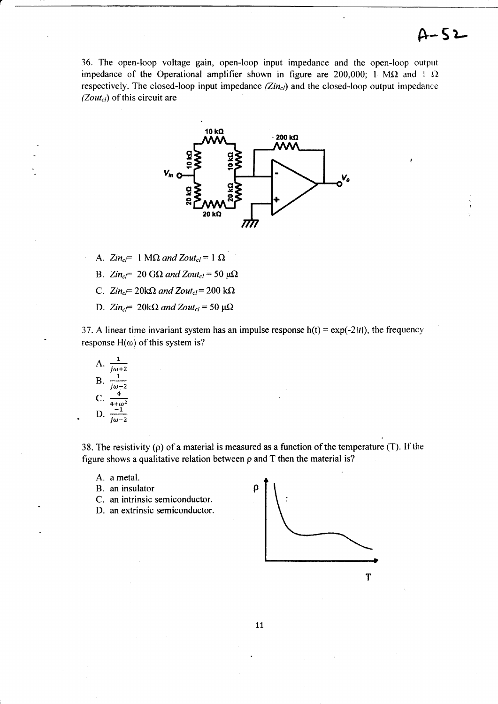36. The open-loop voltage gain, open-loop input impedance and the open-loop output impedance of the Operational amplifier shown in figure are 200,000; 1 M $\Omega$  and 1  $\Omega$ respectively. The closed-loop input impedance  $(Zin_{cl})$  and the closed-loop output impedance (Zout<sub>cl</sub>) of this circuit are

![](_page_10_Figure_2.jpeg)

- A.  $Zin_{cl} = 1 M\Omega$  and  $Zout_{cl} = 1 \Omega$
- B.  $Zin_{c}$  = 20 G $\Omega$  and Zout<sub>cl</sub> = 50  $\mu\Omega$
- C.  $Zin_{cl} = 20k\Omega$  and  $Zout_{cl} = 200 k\Omega$
- D.  $Zin_{c}$  = 20k $\Omega$  and Zout<sub>cl</sub> = 50  $\mu\Omega$

37. A linear time invariant system has an impulse response  $h(t) = \exp(-2|t|)$ , the frequency response  $H(\omega)$  of this system is?

A. 
$$
\frac{1}{j\omega+2}
$$
  
\nB.  $\frac{1}{j\omega-2}$   
\nC.  $\frac{4}{4+\omega^2}$   
\nD.  $\frac{-1}{j\omega-2}$ 

38. The resistivity ( $\rho$ ) of a material is measured as a function of the temperature (T). If the figure shows a qualitative relation between  $\rho$  and  $T$  then the material is?

- A. a metal.
- B. an insulator
- C. an intrinsic semiconductor.
- D. an extrinsic semiconductor.

![](_page_10_Figure_14.jpeg)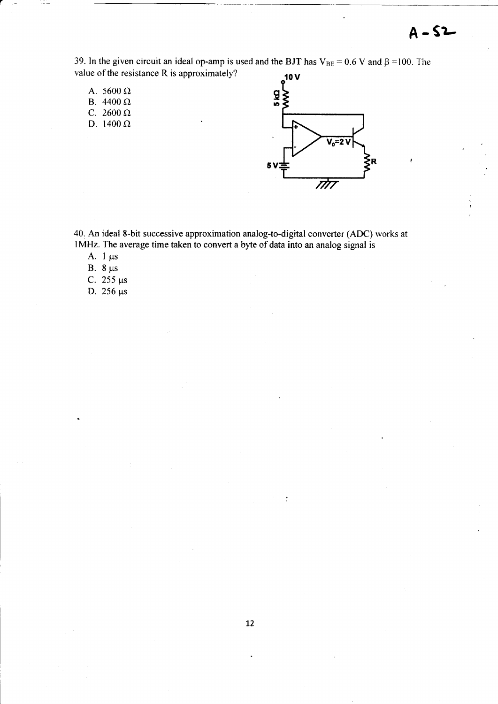39. In the given circuit an ideal op-amp is used and the BJT has  $V_{BE} = 0.6 V$  and  $\beta = 100$ . The value of the resistance R is approximately?  $10V$ 

- A. 5600  $\Omega$
- B.  $4400 \Omega$
- C. 2600  $\Omega$
- D. 1400  $\Omega$

![](_page_11_Figure_6.jpeg)

40. An ideal 8-bit successive approximation analog-to-digital converter (ADC) works at lMHz. The average time taken to convert a byte of data into an analog signal is

- A.  $1 \mu s$
- B.  $8 \mu s$
- C. 255  $\mu s$
- D.  $256 \mu s$